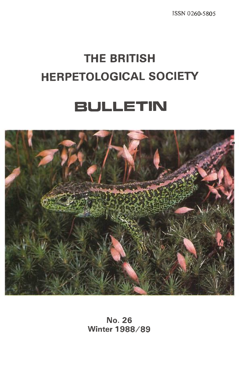# **THE BRITISH HERPETOLOGICAL SOCIETY**

# **BULLETIN**



**No. 26 Winter 1988/89**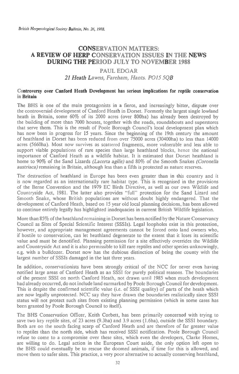## **CONSERVATION MATTERS: A REVIEW OF HERP CONSERVATION ISSUES IN THE NEWS DURING THE PERIOD JULY TO NOVEMBER 1988**

### PAUL EDGAR *21 Heath Lawns, Fareham, Hants. P015 5QB*

#### **Controversy over Canford Heath Development has serious implications for reptile conservation in Britain**

**The BHS** is one of the main protagonists in a fierce, and increasingly bitter, dispute over the controversial development of Canford Heath in Dorset. Formerly the largest single lowland heath in Britain, some 60% of its 2000 acres (over 800ha) has already been destroyed by the building of more than 7000 houses, together with the roads, roundabouts and superstores that serve them. This is the result of Poole Borough Council's local development plan which has now been in progress for 15 years. Since the beginning of the 19th century the amount of heathland in Dorset has been reduced from over 75000 acres (30400ha) to less than 14000 acres (5660ha). Most now survives as scattered fragments, more vulnerable and less able to support viable populations of rare species than large heathland blocks, hence the national importance of Canford Heath as a wildlife habitat. It is estimated that Dorset heathland is home to 90% of the Sand Lizards *(Laccrta agilis)* and 80% of the Smooth Snakes *(Coronella austriaca) remaining* in Britain, although less than a fifth is protected as nature reserves.

The destruction of heathland in Europe has been even greater than in this country and it is now regarded as an internationally rare habitat type. This is recognised in the provisions of the Berne Convention and the 1979 EC Birds Directive, as well as our own Wildlife and Countryside Act, 1981. The latter also provides "full" protection for the Sand Lizard and Smooth Snake, whose British populations are without doubt highly endangered. That the development of Canford Heath, based on 15 year old local planning decisions, has been allowed to continue entirely legally has highlighted inadequacies in current British Wildlife legislation.

More than 85% of the heathland remaining in Dorset has been notified by the Nature Conservancy Council as Sites of Special Scientific Interest (SSSIs). Legal loopholes exist in this protection, however, and appropriate management agreements cannot be forced onto land owners who, if hostile to conservation, can let heathland degenerate to the extent that it loses its scientific value and must be denotified. Planning permission for a site effectively overrides the Wildlife and Countryside Act and it is also permissible to kill rare reptiles and other species unknowingly, e.g. with a bulldozer. Dorset now has the dubious distinction of being the county with the largest number of SSSIs damaged in the last three years.

In addition, conservationists have been strongly critical of the NCC for never even having notified large areas of Canford Heath as an SSSI for purely political reasons. The boundaries of the present SSSI on north Canford Heath, not drawn until 1985 when much development had already occurred, do not include land earmarked by Poole Borough Council for development. This is despite the confirmed scientific value (i.e. of SSSI quality) of parts of the heath which are now legally unprotected. NCC say they have drawn the boundaries realistically since SSSI status will not protect such sites from existing planning permission (which in some cases has been granted by Poole Borough Council to itself).

The BHS Conservation Officer, Keith Corbett, has been primarily concerned with trying to save two key reptile sites, of 23 acres (9.3ha) and 3.9 acres (1.6ha), outside the SSSI boundary. Both are on the south facing scarp of Canford Heath and are therefore of far greater value to reptiles than the north side, which has received SSSI notification. Poole Borough Council refuse to come to a compromise over these sites, which even the developers, Clarke Homes, are willing to do. Legal action in the European Court aside, the only option left open to the BHS could eventually be to rescue the doomed animals, if time for this is allowed, and move them to safer sites. This practice, a very poor alternative to actually conserving heathland,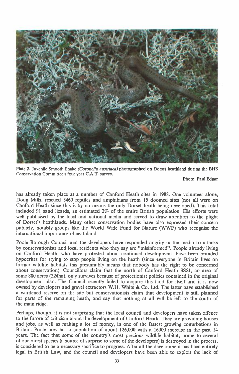

Plate 2. Juvenile Smooth Snake *(Coronella austriaca) photographed* on Dorset heathland during the BHS Conservation Committee's four year C.A.T. survey.

Photo: Paul Edgar

has already taken place at a number of Canford Heath sites in 1988. One volunteer alone, Doug Mills, rescued 3460 reptiles and amphibians from 15 doomed sites (not all *were* on Canford Heath since this is by no means the only Dorset heath being developed). This total included 91 sand lizards, an estimated 2% of the entire British population. His efforts were well publicised by the local and national media and served to draw attention to the plight of Dorset's heathlands. Many other conservation bodies have also expressed their concern publicly, notably groups like the World Wide Fund for Nature (WWF) who recognise the international importance of heathland.

Poole Borough Council and the developers have responded angrily in the media to attacks by conservationists and local residents who they say are "misinformed". People already living on Canford Heath, who have protested about continued development, have been branded hypocrites for trying to stop people living on the heath (since everyone in Britain lives on former wildlife habitats this presumably means that nobody has the right to be concerned about conservation). Councillors claim that the north of Canford Heath SSSI, an area of some 800 acres (324ha), only survives because of protectionist policies contained in the original development plan. The Council recently failed to acquire this land for itself and it is now owned by developers and gravel extractors W.H. White & Co. Ltd. The latter have established a wardened reserve on the site but conservationists claim that development is still planned for parts of the remaining heath, and say that nothing at all will be left to the south of the main ridge.

Perhaps, though, it is not surprising that the local council and developers have taken offence to the furore of criticism about the development of Canford Heath. They are providing houses and jobs, as well as making a lot of money, in one of the fastest growing conurbations in Britain. Poole now has a population of about 126,000 with a 16000 increase in the past 14 years. The fact that some of the country's most precious wildlife habitat, home to several of our rarest species (a source of surprise to some of the developers) is destroyed in the process, is considered to be a necessary sacrifice to progress. After all the development has been entirely legal in British Law, and the council and developers have been able to exploit the lack of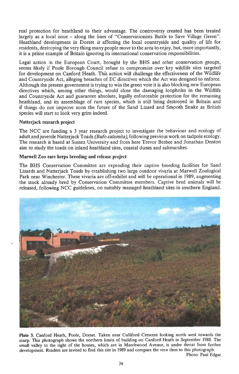real protection for heathland to their advantage. The controversy created has been treated largely as a local issue - along the lines of "Conservationists Battle to Save Village Green". Heathland development in Dorset *is* affecting the local countryside and quality of life for residents, destroying the very thing many people move to the area to enjoy, but, more importantly, it is a prime example of Britain ignoring its international conservation responsibilities.

Legal action in the European Court, brought by the BHS and other conservation groups, seems likely if Poole Borough Council refuse to compromise over key wildlife sites targeted for development on Canford Heath. This action will challenge the effectiveness of the Wildlife and Countryside Act, alleging breaches of EC directives which the Act was designed to enforce. Although the present government is trying to win the green vote it is also blocking new European directives which, among other things, would close the damaging loopholes in the Wildlife and Countryside Act and guarantee absolute, legally enforceable protection for the remaining heathland, and its assemblage of rare species, which is still being destroyed in Britain and if things do not improve soon the future of the Sand Lizard and Smooth Snake as British species will start to look very grim indeed.

#### **Natterjack research project**

The NCC are funding a 3 year research project to investigate the behaviour and ecology of adult and juvenile Natterjack Toads *(Bufo calamita),* following previous work on tadpole ecology. The research is based at Sussex University and from here Trevor Beebee and Jonathan Denton aim to study the toads on inland heathland sites, coastal dunes and saltmarshes.

#### **Marwell Zoo rare herps breeding and release project**

**The** BHS Conservation Committee are expending their captive breeding facilities for Sand Lizards and Natterjack Toads by establishing two large outdoor vivaria at Marwell Zoological Park near Winchester. These vivaria are off-exhibit and will be operational in 1989, augmenting the stock already bred by Conservation Committee members. Captive bred animals will be released, following NCC guidelines, on suitably managed heathland sites in southern England.



**Plate** 3. Canford Heath, Poole, Dorset. Taken near Culliford Crescent looking north west towards the scarp. This photograph shows the northern limits of building on Canford Heath in September 1988. The small valley to the right of the houses, which are in Marchwood Avenue, is under threat from further development. Readers are invited to find this site in 1989 and compare the view then to this photograph. Photo: Paul Edgar